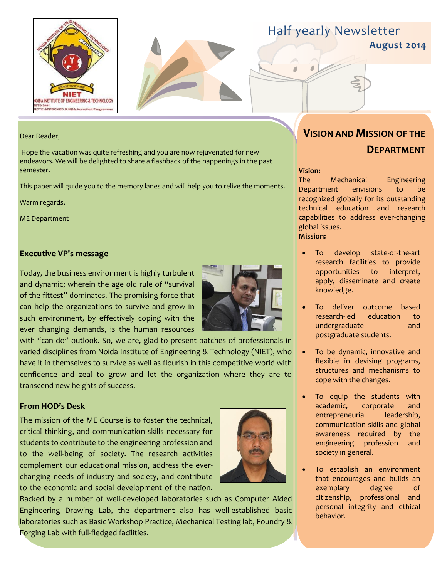



**August 2014**

#### Dear Reader,

Hope the vacation was quite refreshing and you are now rejuvenated for new endeavors. We will be delighted to share a flashback of the happenings in the past semester.

This paper will guide you to the memory lanes and will help you to relive the moments.

Warm regards,

ME Department

#### **Executive VP's message**

Today, the business environment is highly turbulent and dynamic; wherein the age old rule of "survival of the fittest" dominates. The promising force that can help the organizations to survive and grow in such environment, by effectively coping with the ever changing demands, is the human resources



with "can do" outlook. So, we are, glad to present batches of professionals in varied disciplines from Noida Institute of Engineering & Technology (NIET), who have it in themselves to survive as well as flourish in this competitive world with confidence and zeal to grow and let the organization where they are to transcend new heights of success.

#### **From HOD's Desk**

The mission of the ME Course is to foster the technical, critical thinking, and communication skills necessary for students to contribute to the engineering profession and to the well-being of society. The research activities complement our educational mission, address the everchanging needs of industry and society, and contribute to the economic and social development of the nation.



Backed by a number of well-developed laboratories such as Computer Aided Engineering Drawing Lab, the department also has well-established basic laboratories such as Basic Workshop Practice, Mechanical Testing lab, Foundry & Forging Lab with full-fledged facilities.

# **VISION AND MISSION OF THE DEPARTMENT**

#### **Vision:**

The Mechanical Engineering Department envisions to be recognized globally for its outstanding technical education and research capabilities to address ever-changing global issues. **Mission:**

- To develop state-of-the-art research facilities to provide opportunities to interpret, apply, disseminate and create knowledge.
- To deliver outcome based research-led education to undergraduate and postgraduate students.
- To be dynamic, innovative and flexible in devising programs, structures and mechanisms to cope with the changes.
- To equip the students with academic, corporate and entrepreneurial leadership, communication skills and global awareness required by the engineering profession and society in general.
- To establish an environment that encourages and builds an exemplary degree of citizenship, professional and personal integrity and ethical behavior.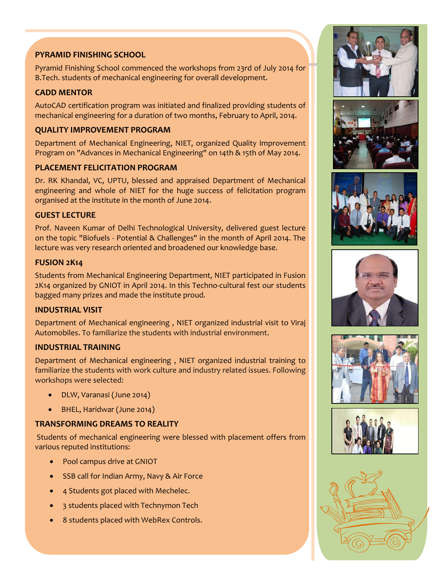## **PYRAMID FINISHING SCHOOL**

Pyramid Finishing School commenced the workshops from 23rd of July 2014 for B.Tech. students of mechanical engineering for overall development.

# **CADD MENTOR**

AutoCAD certification program was initiated and finalized providing students of mechanical engineering for a duration of two months, February to April, 2014.

## **QUALITY IMPROVEMENT PROGRAM**

Department of Mechanical Engineering, NIET, organized Quality Improvement Program on "Advances in Mechanical Engineering" on 14th & 15th of May 2014.

## **PLACEMENT FELICITATION PROGRAM**

Dr. RK Khandal, VC, UPTU, blessed and appraised Department of Mechanical engineering and whole of NIET for the huge success of felicitation program organised at the institute in the month of June 2014.

## **GUEST LECTURE**

Prof. Naveen Kumar of Delhi Technological University, delivered guest lecture on the topic "Biofuels - Potential & Challenges" in the month of April 2014. The lecture was very research oriented and broadened our knowledge base.

#### **FUSION 2K14**

Students from Mechanical Engineering Department, NIET participated in Fusion 2K14 organized by GNIOT in April 2014. In this Techno-cultural fest our students bagged many prizes and made the institute proud.

## **INDUSTRIAL VISIT**

Department of Mechanical engineering , NIET organized industrial visit to Viraj Automobiles. To familiarize the students with industrial environment.

## **INDUSTRIAL TRAINING**

Department of Mechanical engineering , NIET organized industrial training to familiarize the students with work culture and industry related issues. Following workshops were selected:

- DLW, Varanasi (June 2014)
- BHEL, Haridwar (June 2014)

## **TRANSFORMING DREAMS TO REALITY**

Students of mechanical engineering were blessed with placement offers from various reputed institutions:

- Pool campus drive at GNIOT
- SSB call for Indian Army, Navy & Air Force
- 4 Students got placed with Mechelec.
- 3 students placed with Technymon Tech
- 8 students placed with WebRex Controls.